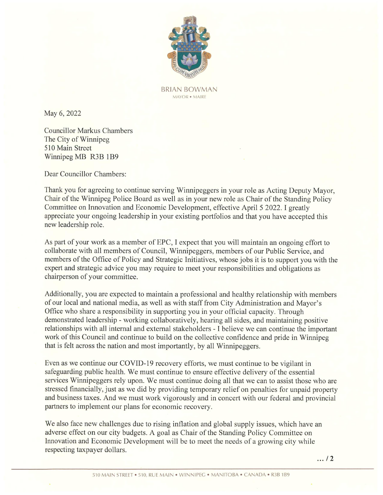

BRIAN BOWMAN MAYOR ¢ MAIRE

May 6, 2022

Councillor Markus Chambers The City of Winnipeg 510 Main Street Winnipeg MB R3B 1B9

Dear Councillor Chambers:

Thank you for agreeing to continue serving Winnipeggers in your role as Acting Deputy Mayor, Chair of the Winnipeg Police Board as well as in your newrole as Chair of the Standing Policy Committee on Innovation and Economic Development, effective April 5 2022. <sup>I</sup> greatly appreciate your ongoing leadership in your existing portfolios and that you have accepted this new leadership role.

As part of your work as a member of EPC, I expect that you will maintain an ongoing effort to collaborate with all members of Council, Winnipeggers, members of our Public Service, and members of the Office of Policy and Strategic Initiatives, whose jobs it is to support you with the expert and strategic advice you may require to meet your responsibilities and obligations as chairperson of your committee.

Additionally, you are expected to maintain a professional and healthy relationship with members of our local and national media, as well as with staff from City Administration and Mayor's<br>Office who share a responsibility in supporting you in your official capacity. Through demonstrated leadership - working collaboratively, hearing all sides, and maintaining positive relationships with all internal and external stakeholders- <sup>I</sup> believe we can continue the important work of this Council and continue to build on the collective confidence and pride in Winnipeg that is felt across the nation and most importantly, by all Winnipeggers. May 6, 2022<br>
Now 5, 2022<br>
Councillot Mackus Chambers<br>
Now 5, 2022<br>
Councillot Mackus Chambers<br>
The City Of Mini-Species (1998)<br>
Notice Service Poiss Bound and Normal Properties (Ninejpegare is soon roles of class (Ninej D

Even as we continue our COVID-19 recovery efforts, we must continue to be vigilant in safeguarding public health. We must continue to ensure effective delivery of the essential services Winnipeggers rely upon. We must continue doingall that we can to assist those who are stressed financially, just as we did by providing temporary relief on penalties for unpaid property and business taxes. And we must work vigorously and in concert with our federal and provincial partners to implement our plans for economic recovery.

omic recovery.<br>g inflation and<br>al as Chair of the<br>will be to meet<br>win • WINNIPEG • We also face new challenges due to rising inflation and global supply issues, which have an adverse effect on our city budgets. A goal as Chair of the Standing Policy Committee on Innovation and Economic Development will be to meet the needs of a growing city while respecting taxpayer dollars.

 $\ldots$  / 2